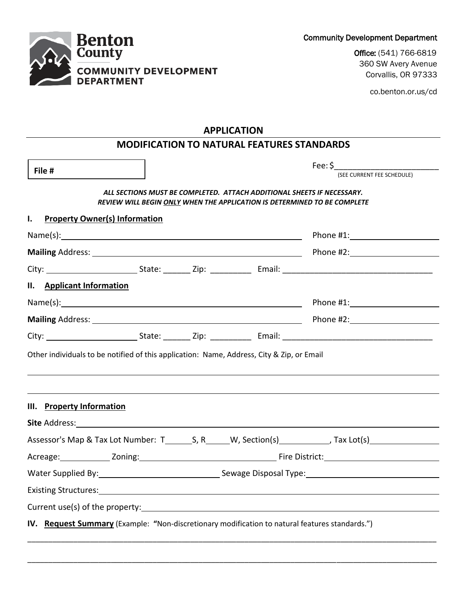Community Development Department

Office: (541) 766-6819 360 SW Avery Avenue Corvallis, OR 97333

co.benton.or.us/cd

|  | <b>Benton</b><br><b>County</b>                    |
|--|---------------------------------------------------|
|  | <b>COMMUNITY DEVELOPMENT</b><br><b>DEPARTMENT</b> |

# **MODIFICATION TO NATURAL FEATURES STANDARDS**

| File #                                                                                         |  |                                                                                |                                                                        | Fee: $\zeta$ _______________                                             |
|------------------------------------------------------------------------------------------------|--|--------------------------------------------------------------------------------|------------------------------------------------------------------------|--------------------------------------------------------------------------|
|                                                                                                |  |                                                                                |                                                                        | (SEE CURRENT FEE SCHEDULE)                                               |
|                                                                                                |  |                                                                                | ALL SECTIONS MUST BE COMPLETED. ATTACH ADDITIONAL SHEETS IF NECESSARY. | REVIEW WILL BEGIN ONLY WHEN THE APPLICATION IS DETERMINED TO BE COMPLETE |
| $\mathbf{I}$ .<br><b>Property Owner(s) Information</b>                                         |  |                                                                                |                                                                        |                                                                          |
|                                                                                                |  |                                                                                |                                                                        |                                                                          |
|                                                                                                |  |                                                                                |                                                                        |                                                                          |
|                                                                                                |  |                                                                                |                                                                        |                                                                          |
| II. Applicant Information                                                                      |  |                                                                                |                                                                        |                                                                          |
|                                                                                                |  |                                                                                |                                                                        |                                                                          |
|                                                                                                |  |                                                                                |                                                                        |                                                                          |
|                                                                                                |  |                                                                                |                                                                        |                                                                          |
| III. Property Information                                                                      |  |                                                                                |                                                                        |                                                                          |
|                                                                                                |  |                                                                                |                                                                        |                                                                          |
|                                                                                                |  |                                                                                |                                                                        |                                                                          |
|                                                                                                |  |                                                                                |                                                                        |                                                                          |
|                                                                                                |  | Water Supplied By: 1993 Communication Communication Sewage Disposal Type: 1994 |                                                                        |                                                                          |
|                                                                                                |  |                                                                                |                                                                        |                                                                          |
|                                                                                                |  |                                                                                |                                                                        |                                                                          |
| IV. Request Summary (Example: "Non-discretionary modification to natural features standards.") |  |                                                                                |                                                                        |                                                                          |
|                                                                                                |  |                                                                                |                                                                        |                                                                          |

\_\_\_\_\_\_\_\_\_\_\_\_\_\_\_\_\_\_\_\_\_\_\_\_\_\_\_\_\_\_\_\_\_\_\_\_\_\_\_\_\_\_\_\_\_\_\_\_\_\_\_\_\_\_\_\_\_\_\_\_\_\_\_\_\_\_\_\_\_\_\_\_\_\_\_\_\_\_\_\_\_\_\_\_\_\_\_\_\_\_\_\_\_\_\_\_\_\_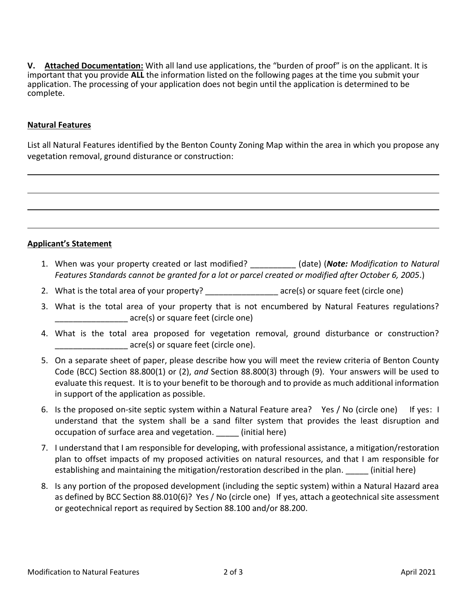**V. Attached Documentation:** With all land use applications, the "burden of proof" is on the applicant. It is important that you provide **ALL** the information listed on the following pages at the time you submit your application. The processing of your application does not begin until the application is determined to be complete.

### **Natural Features**

List all Natural Features identified by the Benton County Zoning Map within the area in which you propose any vegetation removal, ground disturance or construction:

### **Applicant's Statement**

- 1. When was your property created or last modified? \_\_\_\_\_\_\_\_\_\_ (date) (*Note: Modification to Natural Features Standards cannot be granted for a lot or parcel created or modified after October 6, 2005.*)
- 2. What is the total area of your property? \_\_\_\_\_\_\_\_\_\_\_\_\_\_\_\_\_\_\_\_\_ acre(s) or square feet (circle one)
- 3. What is the total area of your property that is not encumbered by Natural Features regulations? \_\_\_\_\_\_\_\_\_\_\_\_\_\_\_\_ acre(s) or square feet (circle one)
- 4. What is the total area proposed for vegetation removal, ground disturbance or construction? acre(s) or square feet (circle one).
- 5. On a separate sheet of paper, please describe how you will meet the review criteria of Benton County Code (BCC) Section 88.800(1) or (2), *and* Section 88.800(3) through (9). Your answers will be used to evaluate this request. It is to your benefit to be thorough and to provide as much additional information in support of the application as possible.
- 6. Is the proposed on-site septic system within a Natural Feature area? Yes / No (circle one) If yes: I understand that the system shall be a sand filter system that provides the least disruption and occupation of surface area and vegetation. \_\_\_\_\_ (initial here)
- 7. I understand that I am responsible for developing, with professional assistance, a mitigation/restoration plan to offset impacts of my proposed activities on natural resources, and that I am responsible for establishing and maintaining the mitigation/restoration described in the plan. (initial here)
- 8. Is any portion of the proposed development (including the septic system) within a Natural Hazard area as defined by BCC Section 88.010(6)? Yes / No (circle one) If yes, attach a geotechnical site assessment or geotechnical report as required by Section 88.100 and/or 88.200.